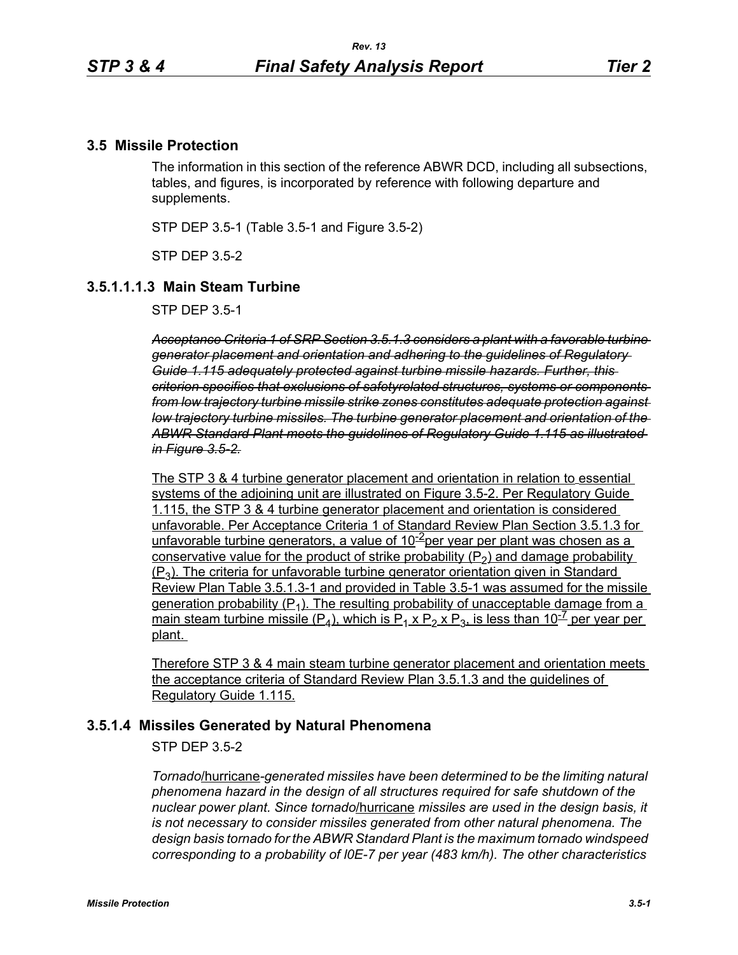### **3.5 Missile Protection**

The information in this section of the reference ABWR DCD, including all subsections, tables, and figures, is incorporated by reference with following departure and supplements.

STP DEP 3.5-1 (Table 3.5-1 and Figure 3.5-2)

STP DEP 3.5-2

## **3.5.1.1.1.3 Main Steam Turbine**

STP DEP 3.5-1

*Acceptance Criteria 1 of SRP Section 3.5.1.3 considers a plant with a favorable turbine generator placement and orientation and adhering to the guidelines of Regulatory Guide 1.115 adequately protected against turbine missile hazards. Further, this criterion specifies that exclusions of safetyrelated structures, systems or components from low trajectory turbine missile strike zones constitutes adequate protection against low trajectory turbine missiles. The turbine generator placement and orientation of the ABWR Standard Plant meets the guidelines of Regulatory Guide 1.115 as illustrated in Figure 3.5-2.*

The STP 3 & 4 turbine generator placement and orientation in relation to essential systems of the adjoining unit are illustrated on Figure 3.5-2. Per Regulatory Guide 1.115, the STP 3 & 4 turbine generator placement and orientation is considered unfavorable. Per Acceptance Criteria 1 of Standard Review Plan Section 3.5.1.3 for unfavorable turbine generators, a value of  $10^{-2}$ per year per plant was chosen as a conservative value for the product of strike probability  $(P_2)$  and damage probability  $(P_3)$ . The criteria for unfavorable turbine generator orientation given in Standard Review Plan Table 3.5.1.3-1 and provided in Table 3.5-1 was assumed for the missile generation probability  $(P_1)$ . The resulting probability of unacceptable damage from a main steam turbine missile (P<sub>4</sub>), which is P<sub>1</sub> x P<sub>2</sub> x P<sub>3</sub>, is less than 10<sup>-7</sup> per year per plant.

Therefore STP 3 & 4 main steam turbine generator placement and orientation meets the acceptance criteria of Standard Review Plan 3.5.1.3 and the guidelines of Regulatory Guide 1.115.

### **3.5.1.4 Missiles Generated by Natural Phenomena**

STP DEP 3.5-2

*Tornado*/hurricane*-generated missiles have been determined to be the limiting natural phenomena hazard in the design of all structures required for safe shutdown of the nuclear power plant. Since tornado*/hurricane *missiles are used in the design basis, it is not necessary to consider missiles generated from other natural phenomena. The design basis tornado for the ABWR Standard Plant is the maximum tornado windspeed corresponding to a probability of l0E-7 per year (483 km/h). The other characteristics*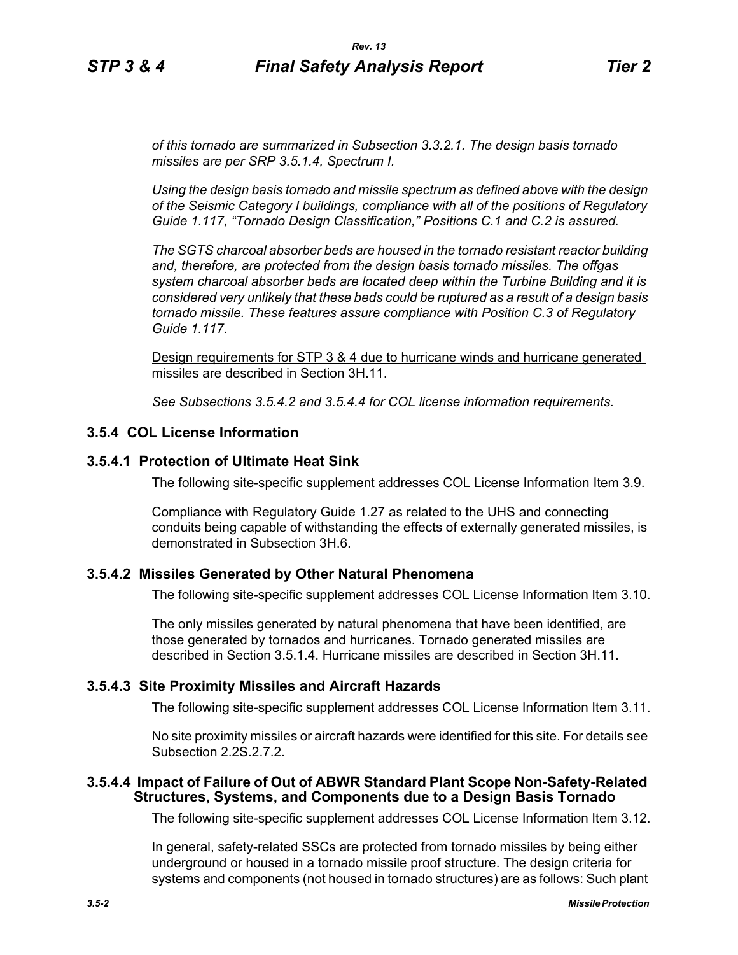*of this tornado are summarized in Subsection 3.3.2.1. The design basis tornado missiles are per SRP 3.5.1.4, Spectrum I.*

*Using the design basis tornado and missile spectrum as defined above with the design of the Seismic Category I buildings, compliance with all of the positions of Regulatory Guide 1.117, "Tornado Design Classification," Positions C.1 and C.2 is assured.*

*The SGTS charcoal absorber beds are housed in the tornado resistant reactor building and, therefore, are protected from the design basis tornado missiles. The offgas system charcoal absorber beds are located deep within the Turbine Building and it is considered very unlikely that these beds could be ruptured as a result of a design basis tornado missile. These features assure compliance with Position C.3 of Regulatory Guide 1.117.*

Design requirements for STP 3 & 4 due to hurricane winds and hurricane generated missiles are described in Section 3H.11.

*See Subsections 3.5.4.2 and 3.5.4.4 for COL license information requirements.*

# **3.5.4 COL License Information**

### **3.5.4.1 Protection of Ultimate Heat Sink**

The following site-specific supplement addresses COL License Information Item 3.9.

Compliance with Regulatory Guide 1.27 as related to the UHS and connecting conduits being capable of withstanding the effects of externally generated missiles, is demonstrated in Subsection 3H.6.

### **3.5.4.2 Missiles Generated by Other Natural Phenomena**

The following site-specific supplement addresses COL License Information Item 3.10.

The only missiles generated by natural phenomena that have been identified, are those generated by tornados and hurricanes. Tornado generated missiles are described in Section 3.5.1.4. Hurricane missiles are described in Section 3H.11.

# **3.5.4.3 Site Proximity Missiles and Aircraft Hazards**

The following site-specific supplement addresses COL License Information Item 3.11.

No site proximity missiles or aircraft hazards were identified for this site. For details see Subsection 2.2S.2.7.2.

### **3.5.4.4 Impact of Failure of Out of ABWR Standard Plant Scope Non-Safety-Related Structures, Systems, and Components due to a Design Basis Tornado**

The following site-specific supplement addresses COL License Information Item 3.12.

In general, safety-related SSCs are protected from tornado missiles by being either underground or housed in a tornado missile proof structure. The design criteria for systems and components (not housed in tornado structures) are as follows: Such plant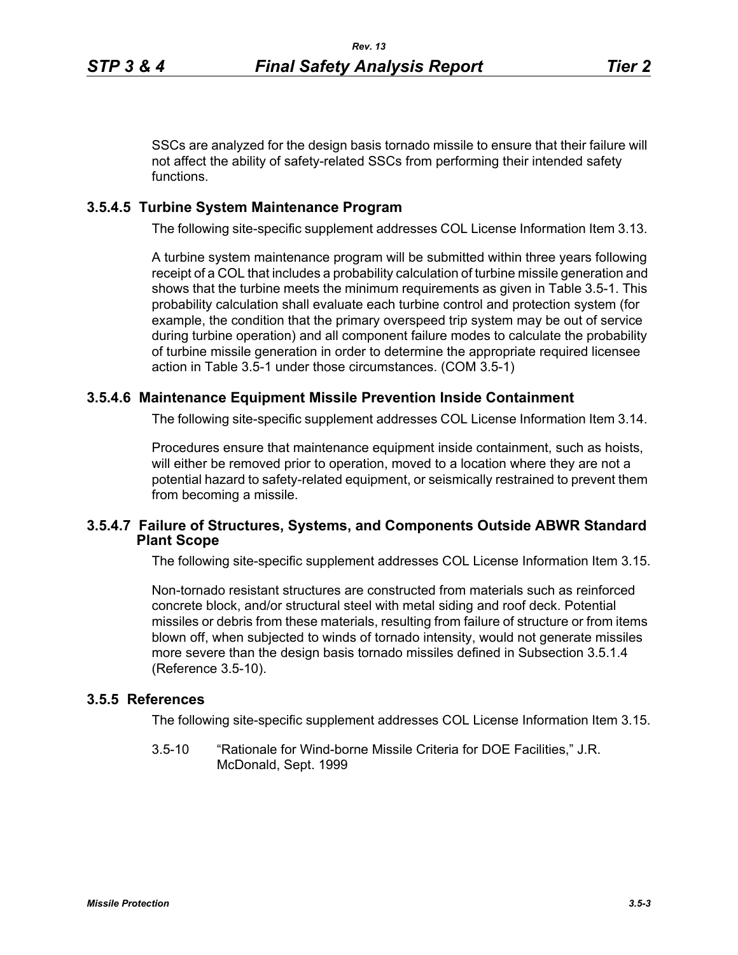SSCs are analyzed for the design basis tornado missile to ensure that their failure will not affect the ability of safety-related SSCs from performing their intended safety functions.

# **3.5.4.5 Turbine System Maintenance Program**

The following site-specific supplement addresses COL License Information Item 3.13.

A turbine system maintenance program will be submitted within three years following receipt of a COL that includes a probability calculation of turbine missile generation and shows that the turbine meets the minimum requirements as given in Table 3.5-1. This probability calculation shall evaluate each turbine control and protection system (for example, the condition that the primary overspeed trip system may be out of service during turbine operation) and all component failure modes to calculate the probability of turbine missile generation in order to determine the appropriate required licensee action in Table 3.5-1 under those circumstances. (COM 3.5-1)

# **3.5.4.6 Maintenance Equipment Missile Prevention Inside Containment**

The following site-specific supplement addresses COL License Information Item 3.14.

Procedures ensure that maintenance equipment inside containment, such as hoists, will either be removed prior to operation, moved to a location where they are not a potential hazard to safety-related equipment, or seismically restrained to prevent them from becoming a missile.

### **3.5.4.7 Failure of Structures, Systems, and Components Outside ABWR Standard Plant Scope**

The following site-specific supplement addresses COL License Information Item 3.15.

Non-tornado resistant structures are constructed from materials such as reinforced concrete block, and/or structural steel with metal siding and roof deck. Potential missiles or debris from these materials, resulting from failure of structure or from items blown off, when subjected to winds of tornado intensity, would not generate missiles more severe than the design basis tornado missiles defined in Subsection 3.5.1.4 (Reference 3.5-10).

## **3.5.5 References**

The following site-specific supplement addresses COL License Information Item 3.15.

3.5-10 "Rationale for Wind-borne Missile Criteria for DOE Facilities," J.R. McDonald, Sept. 1999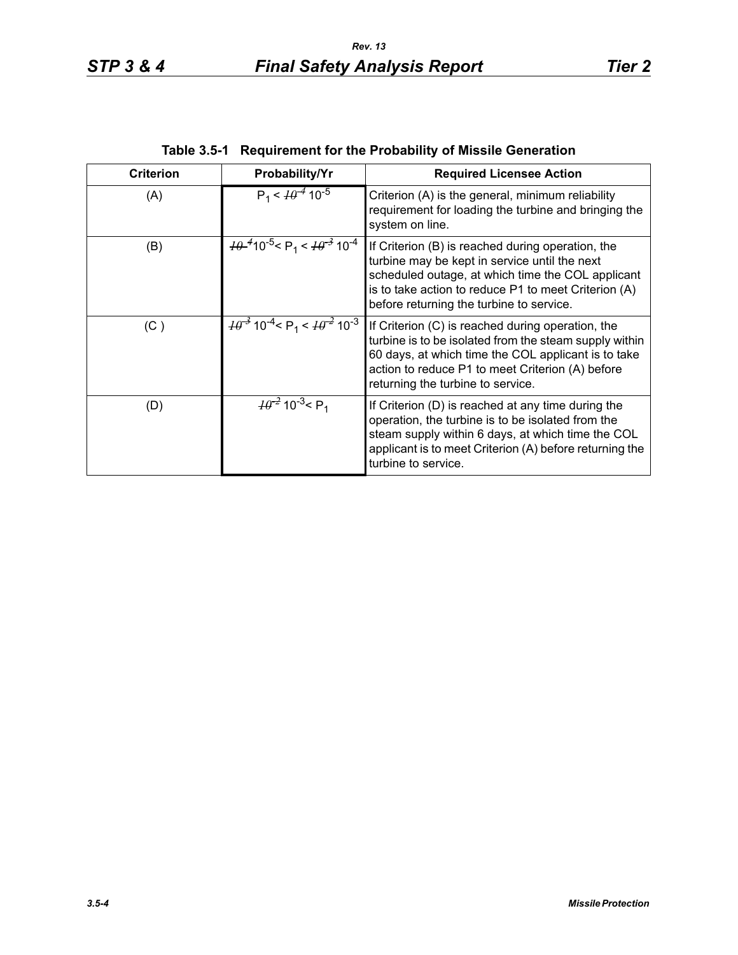| <b>Criterion</b> | Probability/Yr                                                         | <b>Required Licensee Action</b>                                                                                                                                                                                                                             |
|------------------|------------------------------------------------------------------------|-------------------------------------------------------------------------------------------------------------------------------------------------------------------------------------------------------------------------------------------------------------|
| (A)              | $P_1 < \frac{10^{-4}}{10^{-5}}$                                        | Criterion (A) is the general, minimum reliability<br>requirement for loading the turbine and bringing the<br>system on line.                                                                                                                                |
| (B)              | $\frac{10^{-4}}{10^{-5}}$ < P <sub>1</sub> < $\frac{10^{-3}}{10^{-4}}$ | If Criterion (B) is reached during operation, the<br>turbine may be kept in service until the next<br>scheduled outage, at which time the COL applicant<br>is to take action to reduce P1 to meet Criterion (A)<br>before returning the turbine to service. |
| (C)              | $\frac{10^{-3}}{10^{-4}}$ < P <sub>1</sub> < $\frac{10^{-2}}{10^{-3}}$ | If Criterion (C) is reached during operation, the<br>turbine is to be isolated from the steam supply within<br>60 days, at which time the COL applicant is to take<br>action to reduce P1 to meet Criterion (A) before<br>returning the turbine to service. |
| (D)              | $\frac{10^{-2}}{2}$ 10 <sup>-3</sup> < P <sub>1</sub>                  | If Criterion (D) is reached at any time during the<br>operation, the turbine is to be isolated from the<br>steam supply within 6 days, at which time the COL<br>applicant is to meet Criterion (A) before returning the<br>turbine to service.              |

**Table 3.5-1 Requirement for the Probability of Missile Generation**